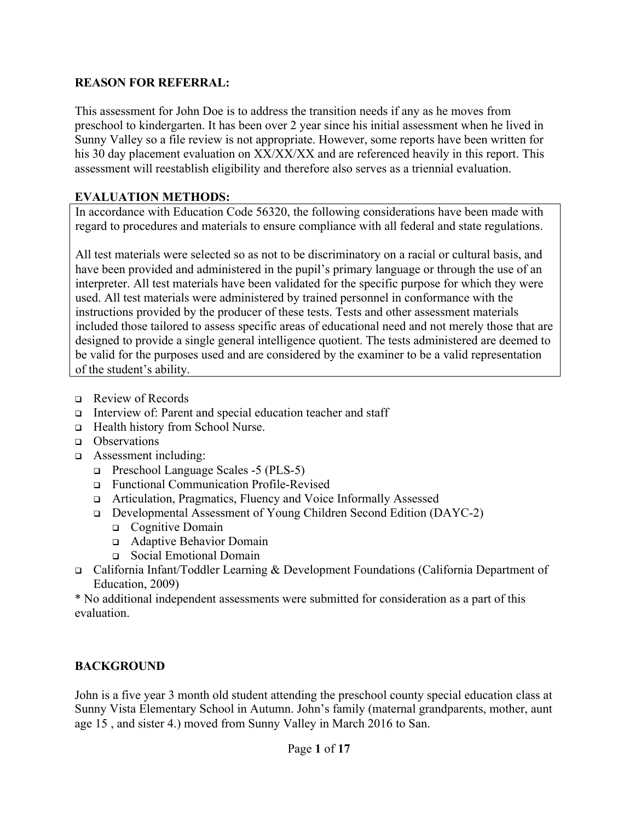### **REASON FOR REFERRAL:**

This assessment for John Doe is to address the transition needs if any as he moves from preschool to kindergarten. It has been over 2 year since his initial assessment when he lived in Sunny Valley so a file review is not appropriate. However, some reports have been written for his 30 day placement evaluation on XX/XX/XX and are referenced heavily in this report. This assessment will reestablish eligibility and therefore also serves as a triennial evaluation.

### **EVALUATION METHODS:**

In accordance with Education Code 56320, the following considerations have been made with regard to procedures and materials to ensure compliance with all federal and state regulations.

All test materials were selected so as not to be discriminatory on a racial or cultural basis, and have been provided and administered in the pupil's primary language or through the use of an interpreter. All test materials have been validated for the specific purpose for which they were used. All test materials were administered by trained personnel in conformance with the instructions provided by the producer of these tests. Tests and other assessment materials included those tailored to assess specific areas of educational need and not merely those that are designed to provide a single general intelligence quotient. The tests administered are deemed to be valid for the purposes used and are considered by the examiner to be a valid representation of the student's ability.

- <sup>q</sup> Review of Records
- <sup>q</sup> Interview of: Parent and special education teacher and staff
- □ Health history from School Nurse.
- <sup>q</sup> Observations
- <sup>q</sup> Assessment including:
	- <sup>q</sup> Preschool Language Scales -5 (PLS-5)
	- <sup>q</sup> Functional Communication Profile-Revised
	- <sup>q</sup> Articulation, Pragmatics, Fluency and Voice Informally Assessed
	- <sup>q</sup> Developmental Assessment of Young Children Second Edition (DAYC-2)
		- <sup>q</sup> Cognitive Domain
		- <sup>q</sup> Adaptive Behavior Domain
		- <sup>q</sup> Social Emotional Domain
- <sup>q</sup> California Infant/Toddler Learning & Development Foundations (California Department of Education, 2009)

\* No additional independent assessments were submitted for consideration as a part of this evaluation.

### **BACKGROUND**

John is a five year 3 month old student attending the preschool county special education class at Sunny Vista Elementary School in Autumn. John's family (maternal grandparents, mother, aunt age 15 , and sister 4.) moved from Sunny Valley in March 2016 to San.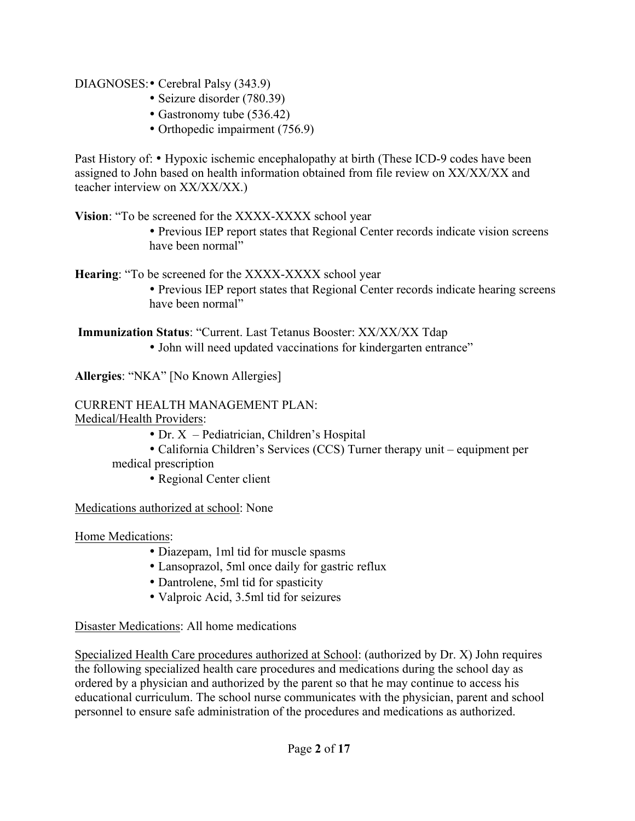DIAGNOSES:• Cerebral Palsy (343.9)

- Seizure disorder (780.39)
- Gastronomy tube (536.42)
- Orthopedic impairment (756.9)

Past History of: • Hypoxic ischemic encephalopathy at birth (These ICD-9 codes have been assigned to John based on health information obtained from file review on XX/XX/XX and teacher interview on XX/XX/XX.)

**Vision**: "To be screened for the XXXX-XXXX school year

• Previous IEP report states that Regional Center records indicate vision screens have been normal"

**Hearing**: "To be screened for the XXXX-XXXX school year

• Previous IEP report states that Regional Center records indicate hearing screens have been normal"

**Immunization Status**: "Current. Last Tetanus Booster: XX/XX/XX Tdap

• John will need updated vaccinations for kindergarten entrance"

**Allergies**: "NKA" [No Known Allergies]

CURRENT HEALTH MANAGEMENT PLAN: Medical/Health Providers:

• Dr. X – Pediatrician, Children's Hospital

• California Children's Services (CCS) Turner therapy unit – equipment per medical prescription

• Regional Center client

Medications authorized at school: None

Home Medications:

- Diazepam, 1ml tid for muscle spasms
- Lansoprazol, 5ml once daily for gastric reflux
- Dantrolene, 5ml tid for spasticity
- Valproic Acid, 3.5ml tid for seizures

Disaster Medications: All home medications

Specialized Health Care procedures authorized at School: (authorized by Dr. X) John requires the following specialized health care procedures and medications during the school day as ordered by a physician and authorized by the parent so that he may continue to access his educational curriculum. The school nurse communicates with the physician, parent and school personnel to ensure safe administration of the procedures and medications as authorized.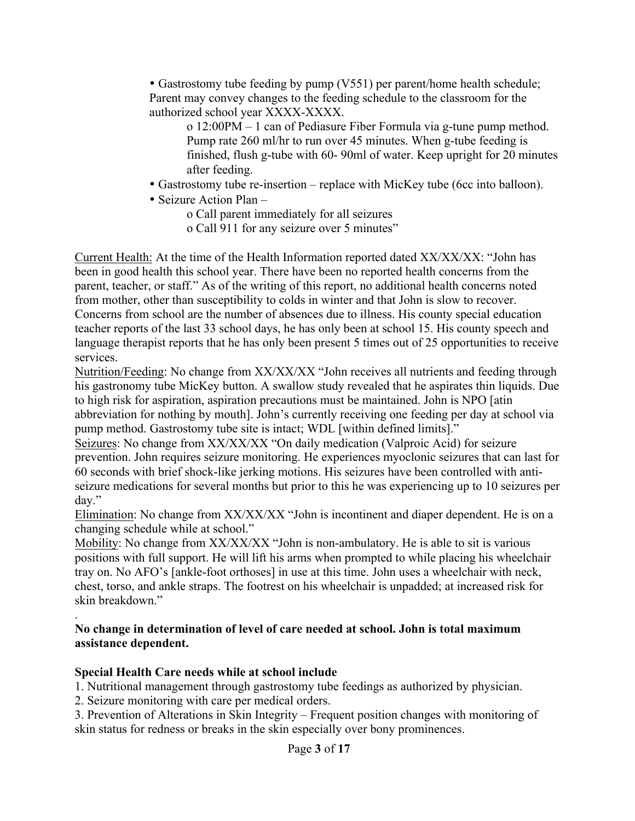• Gastrostomy tube feeding by pump (V551) per parent/home health schedule; Parent may convey changes to the feeding schedule to the classroom for the authorized school year XXXX-XXXX.

o 12:00PM – 1 can of Pediasure Fiber Formula via g-tune pump method. Pump rate 260 ml/hr to run over 45 minutes. When g-tube feeding is finished, flush g-tube with 60- 90ml of water. Keep upright for 20 minutes after feeding.

- Gastrostomy tube re-insertion replace with MicKey tube (6cc into balloon).
- Seizure Action Plan –

o Call parent immediately for all seizures

o Call 911 for any seizure over 5 minutes"

Current Health: At the time of the Health Information reported dated XX/XX/XX: "John has been in good health this school year. There have been no reported health concerns from the parent, teacher, or staff." As of the writing of this report, no additional health concerns noted from mother, other than susceptibility to colds in winter and that John is slow to recover. Concerns from school are the number of absences due to illness. His county special education teacher reports of the last 33 school days, he has only been at school 15. His county speech and language therapist reports that he has only been present 5 times out of 25 opportunities to receive services.

Nutrition/Feeding: No change from XX/XX/XX "John receives all nutrients and feeding through his gastronomy tube MicKey button. A swallow study revealed that he aspirates thin liquids. Due to high risk for aspiration, aspiration precautions must be maintained. John is NPO [atin abbreviation for nothing by mouth]. John's currently receiving one feeding per day at school via pump method. Gastrostomy tube site is intact; WDL [within defined limits]."

Seizures: No change from XX/XX/XX "On daily medication (Valproic Acid) for seizure prevention. John requires seizure monitoring. He experiences myoclonic seizures that can last for 60 seconds with brief shock-like jerking motions. His seizures have been controlled with antiseizure medications for several months but prior to this he was experiencing up to 10 seizures per day."

Elimination: No change from XX/XX/XX "John is incontinent and diaper dependent. He is on a changing schedule while at school."

Mobility: No change from XX/XX/XX "John is non-ambulatory. He is able to sit is various positions with full support. He will lift his arms when prompted to while placing his wheelchair tray on. No AFO's [ankle-foot orthoses] in use at this time. John uses a wheelchair with neck, chest, torso, and ankle straps. The footrest on his wheelchair is unpadded; at increased risk for skin breakdown."

#### . **No change in determination of level of care needed at school. John is total maximum assistance dependent.**

### **Special Health Care needs while at school include**

1. Nutritional management through gastrostomy tube feedings as authorized by physician.

2. Seizure monitoring with care per medical orders.

3. Prevention of Alterations in Skin Integrity – Frequent position changes with monitoring of skin status for redness or breaks in the skin especially over bony prominences.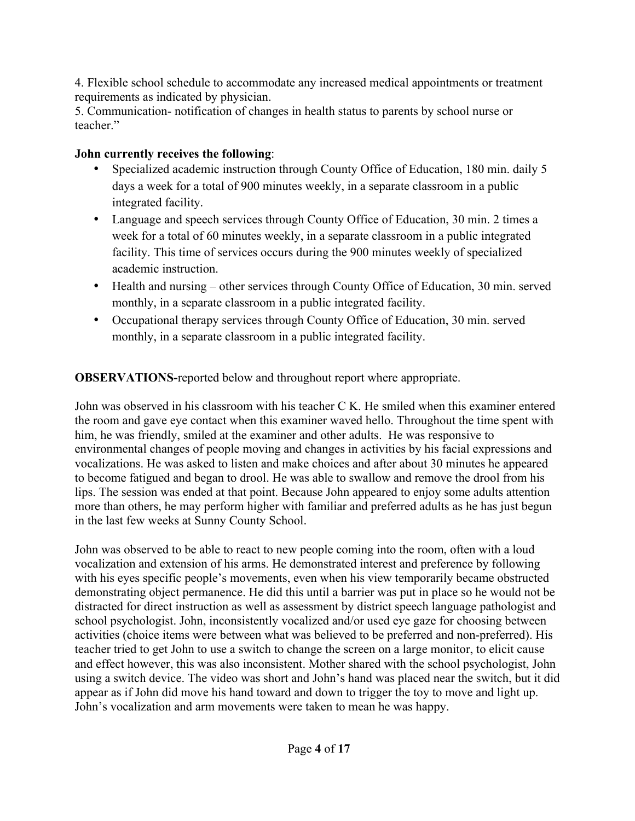4. Flexible school schedule to accommodate any increased medical appointments or treatment requirements as indicated by physician.

5. Communication- notification of changes in health status to parents by school nurse or teacher."

# **John currently receives the following**:

- Specialized academic instruction through County Office of Education, 180 min. daily 5 days a week for a total of 900 minutes weekly, in a separate classroom in a public integrated facility.
- Language and speech services through County Office of Education, 30 min. 2 times a week for a total of 60 minutes weekly, in a separate classroom in a public integrated facility. This time of services occurs during the 900 minutes weekly of specialized academic instruction.
- Health and nursing other services through County Office of Education, 30 min. served monthly, in a separate classroom in a public integrated facility.
- Occupational therapy services through County Office of Education, 30 min. served monthly, in a separate classroom in a public integrated facility.

**OBSERVATIONS-**reported below and throughout report where appropriate.

John was observed in his classroom with his teacher C K. He smiled when this examiner entered the room and gave eye contact when this examiner waved hello. Throughout the time spent with him, he was friendly, smiled at the examiner and other adults. He was responsive to environmental changes of people moving and changes in activities by his facial expressions and vocalizations. He was asked to listen and make choices and after about 30 minutes he appeared to become fatigued and began to drool. He was able to swallow and remove the drool from his lips. The session was ended at that point. Because John appeared to enjoy some adults attention more than others, he may perform higher with familiar and preferred adults as he has just begun in the last few weeks at Sunny County School.

John was observed to be able to react to new people coming into the room, often with a loud vocalization and extension of his arms. He demonstrated interest and preference by following with his eyes specific people's movements, even when his view temporarily became obstructed demonstrating object permanence. He did this until a barrier was put in place so he would not be distracted for direct instruction as well as assessment by district speech language pathologist and school psychologist. John, inconsistently vocalized and/or used eye gaze for choosing between activities (choice items were between what was believed to be preferred and non-preferred). His teacher tried to get John to use a switch to change the screen on a large monitor, to elicit cause and effect however, this was also inconsistent. Mother shared with the school psychologist, John using a switch device. The video was short and John's hand was placed near the switch, but it did appear as if John did move his hand toward and down to trigger the toy to move and light up. John's vocalization and arm movements were taken to mean he was happy.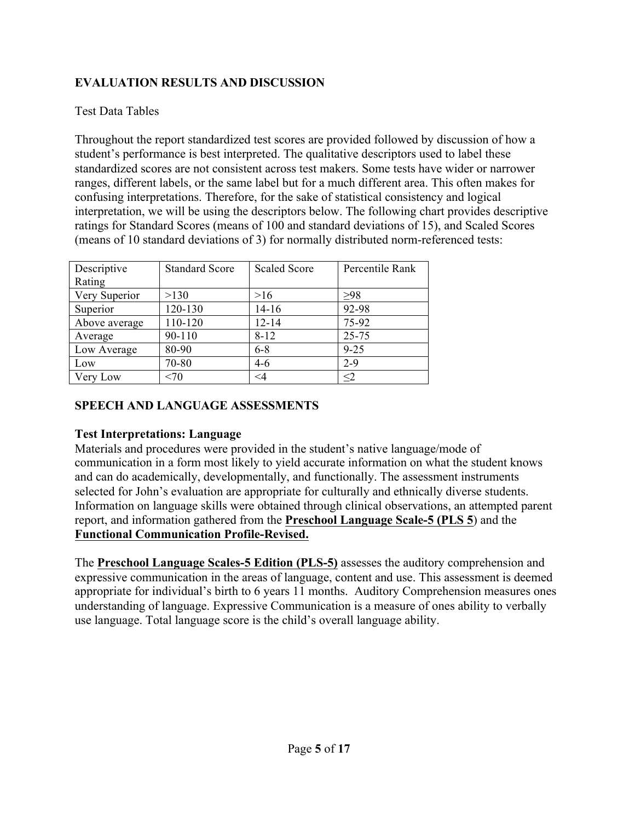# **EVALUATION RESULTS AND DISCUSSION**

## Test Data Tables

Throughout the report standardized test scores are provided followed by discussion of how a student's performance is best interpreted. The qualitative descriptors used to label these standardized scores are not consistent across test makers. Some tests have wider or narrower ranges, different labels, or the same label but for a much different area. This often makes for confusing interpretations. Therefore, for the sake of statistical consistency and logical interpretation, we will be using the descriptors below. The following chart provides descriptive ratings for Standard Scores (means of 100 and standard deviations of 15), and Scaled Scores (means of 10 standard deviations of 3) for normally distributed norm-referenced tests:

| Descriptive   | <b>Standard Score</b> | <b>Scaled Score</b> | Percentile Rank |
|---------------|-----------------------|---------------------|-----------------|
| Rating        |                       |                     |                 |
| Very Superior | >130                  | >16                 | >98             |
| Superior      | 120-130               | $14 - 16$           | 92-98           |
| Above average | 110-120               | $12 - 14$           | 75-92           |
| Average       | 90-110                | $8 - 12$            | 25-75           |
| Low Average   | 80-90                 | $6 - 8$             | $9 - 25$        |
| Low           | 70-80                 | $4 - 6$             | $2 - 9$         |
| Very Low      | $< \! 70$             | ${<}4$              | $\leq$ 2        |

## **SPEECH AND LANGUAGE ASSESSMENTS**

## **Test Interpretations: Language**

Materials and procedures were provided in the student's native language/mode of communication in a form most likely to yield accurate information on what the student knows and can do academically, developmentally, and functionally. The assessment instruments selected for John's evaluation are appropriate for culturally and ethnically diverse students. Information on language skills were obtained through clinical observations, an attempted parent report, and information gathered from the **Preschool Language Scale-5 (PLS 5**) and the **Functional Communication Profile-Revised.**

The **Preschool Language Scales-5 Edition (PLS-5)** assesses the auditory comprehension and expressive communication in the areas of language, content and use. This assessment is deemed appropriate for individual's birth to 6 years 11 months. Auditory Comprehension measures ones understanding of language. Expressive Communication is a measure of ones ability to verbally use language. Total language score is the child's overall language ability.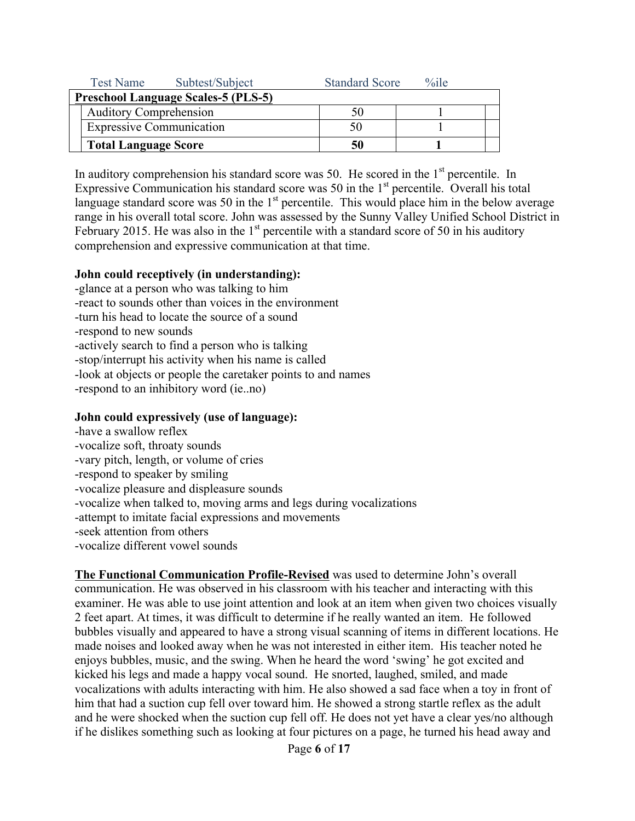|                                 | <b>Test Name</b>                           | Subtest/Subject | <b>Standard Score</b> | $\%$ ile |  |
|---------------------------------|--------------------------------------------|-----------------|-----------------------|----------|--|
|                                 | <b>Preschool Language Scales-5 (PLS-5)</b> |                 |                       |          |  |
|                                 | <b>Auditory Comprehension</b>              |                 | 50                    |          |  |
| <b>Expressive Communication</b> |                                            | 50              |                       |          |  |
|                                 | <b>Total Language Score</b>                |                 | 50                    |          |  |

In auditory comprehension his standard score was 50. He scored in the  $1<sup>st</sup>$  percentile. In Expressive Communication his standard score was 50 in the  $1<sup>st</sup>$  percentile. Overall his total language standard score was 50 in the 1<sup>st</sup> percentile. This would place him in the below average range in his overall total score. John was assessed by the Sunny Valley Unified School District in February 2015. He was also in the  $1<sup>st</sup>$  percentile with a standard score of 50 in his auditory comprehension and expressive communication at that time.

#### **John could receptively (in understanding):**

-glance at a person who was talking to him -react to sounds other than voices in the environment -turn his head to locate the source of a sound -respond to new sounds -actively search to find a person who is talking -stop/interrupt his activity when his name is called -look at objects or people the caretaker points to and names -respond to an inhibitory word (ie..no)

### **John could expressively (use of language):**

- -have a swallow reflex -vocalize soft, throaty sounds -vary pitch, length, or volume of cries -respond to speaker by smiling -vocalize pleasure and displeasure sounds -vocalize when talked to, moving arms and legs during vocalizations -attempt to imitate facial expressions and movements -seek attention from others
- -vocalize different vowel sounds

**The Functional Communication Profile-Revised** was used to determine John's overall communication. He was observed in his classroom with his teacher and interacting with this examiner. He was able to use joint attention and look at an item when given two choices visually 2 feet apart. At times, it was difficult to determine if he really wanted an item. He followed bubbles visually and appeared to have a strong visual scanning of items in different locations. He made noises and looked away when he was not interested in either item. His teacher noted he enjoys bubbles, music, and the swing. When he heard the word 'swing' he got excited and kicked his legs and made a happy vocal sound. He snorted, laughed, smiled, and made vocalizations with adults interacting with him. He also showed a sad face when a toy in front of him that had a suction cup fell over toward him. He showed a strong startle reflex as the adult and he were shocked when the suction cup fell off. He does not yet have a clear yes/no although if he dislikes something such as looking at four pictures on a page, he turned his head away and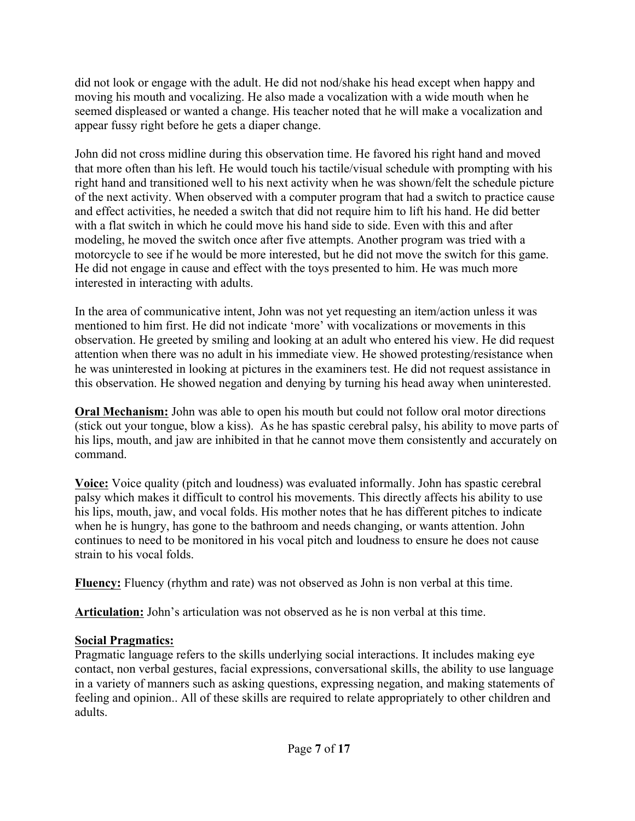did not look or engage with the adult. He did not nod/shake his head except when happy and moving his mouth and vocalizing. He also made a vocalization with a wide mouth when he seemed displeased or wanted a change. His teacher noted that he will make a vocalization and appear fussy right before he gets a diaper change.

John did not cross midline during this observation time. He favored his right hand and moved that more often than his left. He would touch his tactile/visual schedule with prompting with his right hand and transitioned well to his next activity when he was shown/felt the schedule picture of the next activity. When observed with a computer program that had a switch to practice cause and effect activities, he needed a switch that did not require him to lift his hand. He did better with a flat switch in which he could move his hand side to side. Even with this and after modeling, he moved the switch once after five attempts. Another program was tried with a motorcycle to see if he would be more interested, but he did not move the switch for this game. He did not engage in cause and effect with the toys presented to him. He was much more interested in interacting with adults.

In the area of communicative intent, John was not yet requesting an item/action unless it was mentioned to him first. He did not indicate 'more' with vocalizations or movements in this observation. He greeted by smiling and looking at an adult who entered his view. He did request attention when there was no adult in his immediate view. He showed protesting/resistance when he was uninterested in looking at pictures in the examiners test. He did not request assistance in this observation. He showed negation and denying by turning his head away when uninterested.

**Oral Mechanism:** John was able to open his mouth but could not follow oral motor directions (stick out your tongue, blow a kiss). As he has spastic cerebral palsy, his ability to move parts of his lips, mouth, and jaw are inhibited in that he cannot move them consistently and accurately on command.

**Voice:** Voice quality (pitch and loudness) was evaluated informally. John has spastic cerebral palsy which makes it difficult to control his movements. This directly affects his ability to use his lips, mouth, jaw, and vocal folds. His mother notes that he has different pitches to indicate when he is hungry, has gone to the bathroom and needs changing, or wants attention. John continues to need to be monitored in his vocal pitch and loudness to ensure he does not cause strain to his vocal folds.

**Fluency:** Fluency (rhythm and rate) was not observed as John is non verbal at this time.

**Articulation:** John's articulation was not observed as he is non verbal at this time.

## **Social Pragmatics:**

Pragmatic language refers to the skills underlying social interactions. It includes making eye contact, non verbal gestures, facial expressions, conversational skills, the ability to use language in a variety of manners such as asking questions, expressing negation, and making statements of feeling and opinion.. All of these skills are required to relate appropriately to other children and adults.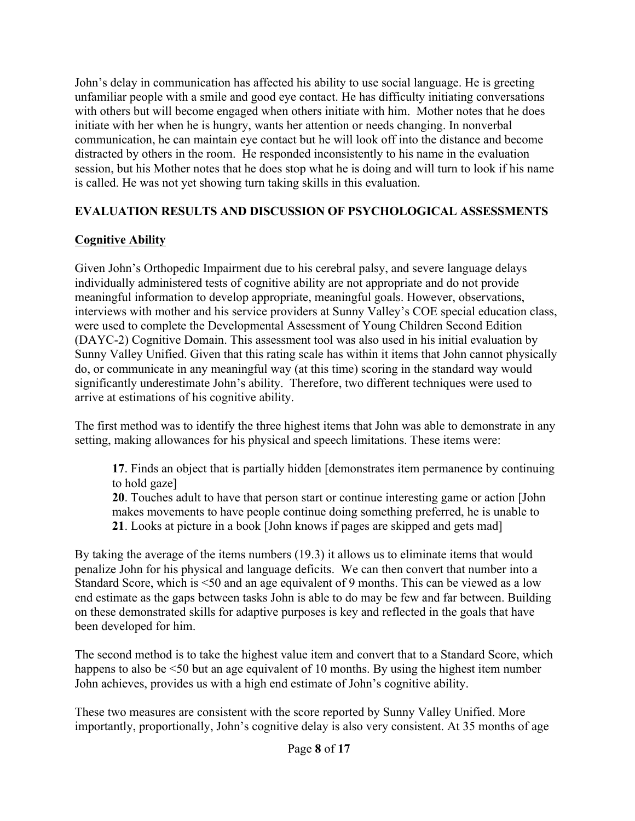John's delay in communication has affected his ability to use social language. He is greeting unfamiliar people with a smile and good eye contact. He has difficulty initiating conversations with others but will become engaged when others initiate with him. Mother notes that he does initiate with her when he is hungry, wants her attention or needs changing. In nonverbal communication, he can maintain eye contact but he will look off into the distance and become distracted by others in the room. He responded inconsistently to his name in the evaluation session, but his Mother notes that he does stop what he is doing and will turn to look if his name is called. He was not yet showing turn taking skills in this evaluation.

## **EVALUATION RESULTS AND DISCUSSION OF PSYCHOLOGICAL ASSESSMENTS**

## **Cognitive Ability**

Given John's Orthopedic Impairment due to his cerebral palsy, and severe language delays individually administered tests of cognitive ability are not appropriate and do not provide meaningful information to develop appropriate, meaningful goals. However, observations, interviews with mother and his service providers at Sunny Valley's COE special education class, were used to complete the Developmental Assessment of Young Children Second Edition (DAYC-2) Cognitive Domain. This assessment tool was also used in his initial evaluation by Sunny Valley Unified. Given that this rating scale has within it items that John cannot physically do, or communicate in any meaningful way (at this time) scoring in the standard way would significantly underestimate John's ability. Therefore, two different techniques were used to arrive at estimations of his cognitive ability.

The first method was to identify the three highest items that John was able to demonstrate in any setting, making allowances for his physical and speech limitations. These items were:

**17**. Finds an object that is partially hidden [demonstrates item permanence by continuing to hold gaze]

**20**. Touches adult to have that person start or continue interesting game or action [John makes movements to have people continue doing something preferred, he is unable to **21**. Looks at picture in a book [John knows if pages are skipped and gets mad]

By taking the average of the items numbers (19.3) it allows us to eliminate items that would penalize John for his physical and language deficits. We can then convert that number into a Standard Score, which is <50 and an age equivalent of 9 months. This can be viewed as a low end estimate as the gaps between tasks John is able to do may be few and far between. Building on these demonstrated skills for adaptive purposes is key and reflected in the goals that have been developed for him.

The second method is to take the highest value item and convert that to a Standard Score, which happens to also be <50 but an age equivalent of 10 months. By using the highest item number John achieves, provides us with a high end estimate of John's cognitive ability.

These two measures are consistent with the score reported by Sunny Valley Unified. More importantly, proportionally, John's cognitive delay is also very consistent. At 35 months of age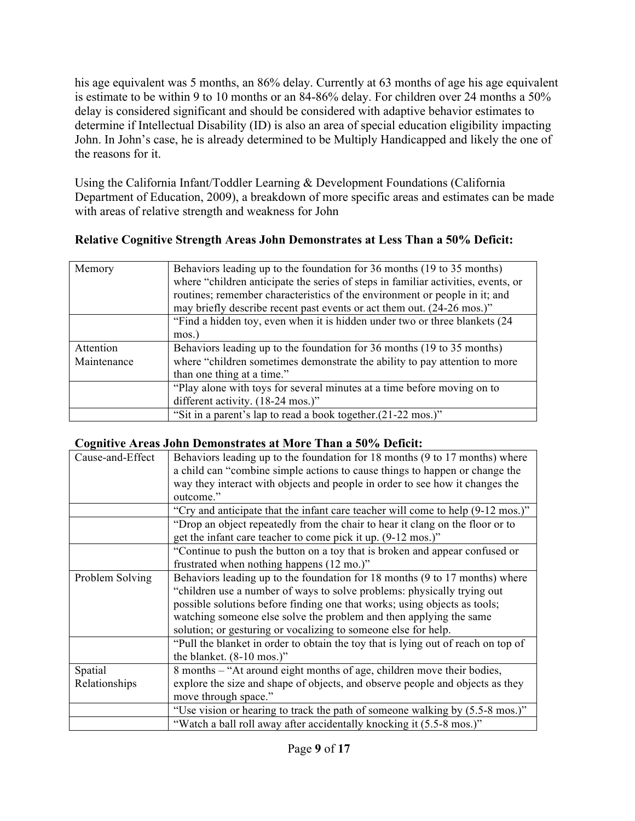his age equivalent was 5 months, an 86% delay. Currently at 63 months of age his age equivalent is estimate to be within 9 to 10 months or an 84-86% delay. For children over 24 months a 50% delay is considered significant and should be considered with adaptive behavior estimates to determine if Intellectual Disability (ID) is also an area of special education eligibility impacting John. In John's case, he is already determined to be Multiply Handicapped and likely the one of the reasons for it.

Using the California Infant/Toddler Learning & Development Foundations (California Department of Education, 2009), a breakdown of more specific areas and estimates can be made with areas of relative strength and weakness for John

## **Relative Cognitive Strength Areas John Demonstrates at Less Than a 50% Deficit:**

| Memory      | Behaviors leading up to the foundation for 36 months (19 to 35 months)            |
|-------------|-----------------------------------------------------------------------------------|
|             | where "children anticipate the series of steps in familiar activities, events, or |
|             | routines; remember characteristics of the environment or people in it; and        |
|             | may briefly describe recent past events or act them out. (24-26 mos.)"            |
|             | "Find a hidden toy, even when it is hidden under two or three blankets (24        |
|             | $mos.$ )                                                                          |
| Attention   | Behaviors leading up to the foundation for 36 months (19 to 35 months)            |
| Maintenance | where "children sometimes demonstrate the ability to pay attention to more        |
|             | than one thing at a time."                                                        |
|             | "Play alone with toys for several minutes at a time before moving on to           |
|             | different activity. (18-24 mos.)"                                                 |
|             | "Sit in a parent's lap to read a book together. (21-22 mos.)"                     |

### **Cognitive Areas John Demonstrates at More Than a 50% Deficit:**

| Cause-and-Effect | Behaviors leading up to the foundation for 18 months (9 to 17 months) where<br>a child can "combine simple actions to cause things to happen or change the |
|------------------|------------------------------------------------------------------------------------------------------------------------------------------------------------|
|                  |                                                                                                                                                            |
|                  | way they interact with objects and people in order to see how it changes the                                                                               |
|                  | outcome."                                                                                                                                                  |
|                  | "Cry and anticipate that the infant care teacher will come to help (9-12 mos.)"                                                                            |
|                  | "Drop an object repeatedly from the chair to hear it clang on the floor or to                                                                              |
|                  | get the infant care teacher to come pick it up. (9-12 mos.)"                                                                                               |
|                  | "Continue to push the button on a toy that is broken and appear confused or                                                                                |
|                  | frustrated when nothing happens (12 mo.)"                                                                                                                  |
| Problem Solving  | Behaviors leading up to the foundation for 18 months (9 to 17 months) where                                                                                |
|                  | "children use a number of ways to solve problems: physically trying out                                                                                    |
|                  | possible solutions before finding one that works; using objects as tools;                                                                                  |
|                  | watching someone else solve the problem and then applying the same                                                                                         |
|                  | solution; or gesturing or vocalizing to someone else for help.                                                                                             |
|                  | "Pull the blanket in order to obtain the toy that is lying out of reach on top of                                                                          |
|                  | the blanket. $(8-10 \text{ mos.})$ "                                                                                                                       |
| Spatial          | 8 months – "At around eight months of age, children move their bodies,                                                                                     |
| Relationships    | explore the size and shape of objects, and observe people and objects as they                                                                              |
|                  | move through space."                                                                                                                                       |
|                  | "Use vision or hearing to track the path of someone walking by (5.5-8 mos.)"                                                                               |
|                  | "Watch a ball roll away after accidentally knocking it (5.5-8 mos.)"                                                                                       |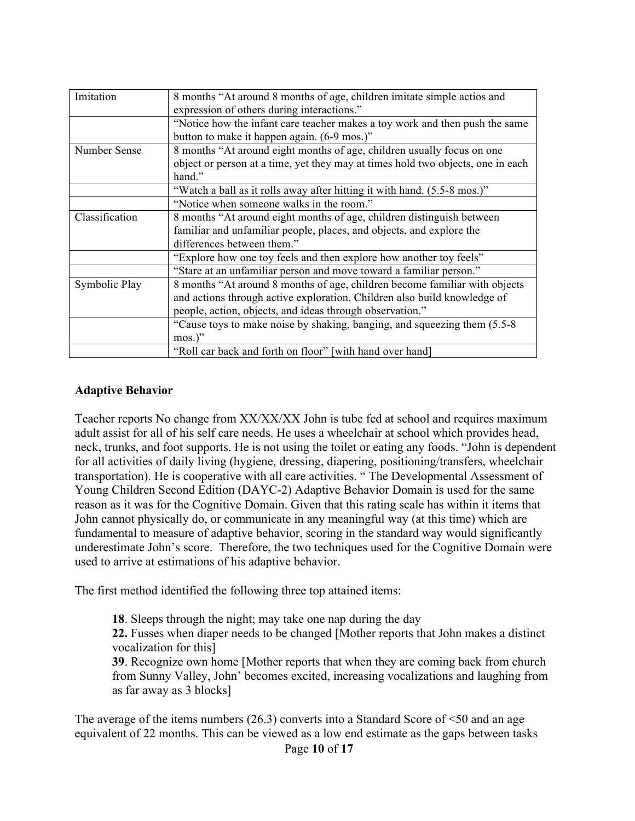| Imitation      | 8 months "At around 8 months of age, children imitate simple actios and<br>expression of others during interactions." |
|----------------|-----------------------------------------------------------------------------------------------------------------------|
|                | "Notice how the infant care teacher makes a toy work and then push the same                                           |
|                | button to make it happen again. (6-9 mos.)"                                                                           |
| Number Sense   | 8 months "At around eight months of age, children usually focus on one                                                |
|                | object or person at a time, yet they may at times hold two objects, one in each                                       |
|                | hand."                                                                                                                |
|                | "Watch a ball as it rolls away after hitting it with hand. (5.5-8 mos.)"                                              |
|                | "Notice when someone walks in the room."                                                                              |
| Classification | 8 months "At around eight months of age, children distinguish between                                                 |
|                | familiar and unfamiliar people, places, and objects, and explore the                                                  |
|                | differences between them."                                                                                            |
|                | "Explore how one toy feels and then explore how another toy feels"                                                    |
|                | "Stare at an unfamiliar person and move toward a familiar person."                                                    |
| Symbolic Play  | 8 months "At around 8 months of age, children become familiar with objects                                            |
|                | and actions through active exploration. Children also build knowledge of                                              |
|                | people, action, objects, and ideas through observation."                                                              |
|                | "Cause toys to make noise by shaking, banging, and squeezing them (5.5-8)                                             |
|                | $mos.$ "                                                                                                              |
|                | "Roll car back and forth on floor" [with hand over hand]                                                              |

### **Adaptive Behavior**

Teacher reports No change from XX/XX/XX John is tube fed at school and requires maximum adult assist for all of his self care needs. He uses a wheelchair at school which provides head, neck, trunks, and foot supports. He is not using the toilet or eating any foods. "John is dependent for all activities of daily living (hygiene, dressing, diapering, positioning/transfers, wheelchair transportation). He is cooperative with all care activities. " The Developmental Assessment of Young Children Second Edition (DAYC-2) Adaptive Behavior Domain is used for the same reason as it was for the Cognitive Domain. Given that this rating scale has within it items that John cannot physically do, or communicate in any meaningful way (at this time) which are fundamental to measure of adaptive behavior, scoring in the standard way would significantly underestimate John's score. Therefore, the two techniques used for the Cognitive Domain were used to arrive at estimations of his adaptive behavior.

The first method identified the following three top attained items:

**18**. Sleeps through the night; may take one nap during the day

**22.** Fusses when diaper needs to be changed [Mother reports that John makes a distinct vocalization for this]

**39**. Recognize own home [Mother reports that when they are coming back from church from Sunny Valley, John' becomes excited, increasing vocalizations and laughing from as far away as 3 blocks]

Page **10** of **17** The average of the items numbers (26.3) converts into a Standard Score of <50 and an age equivalent of 22 months. This can be viewed as a low end estimate as the gaps between tasks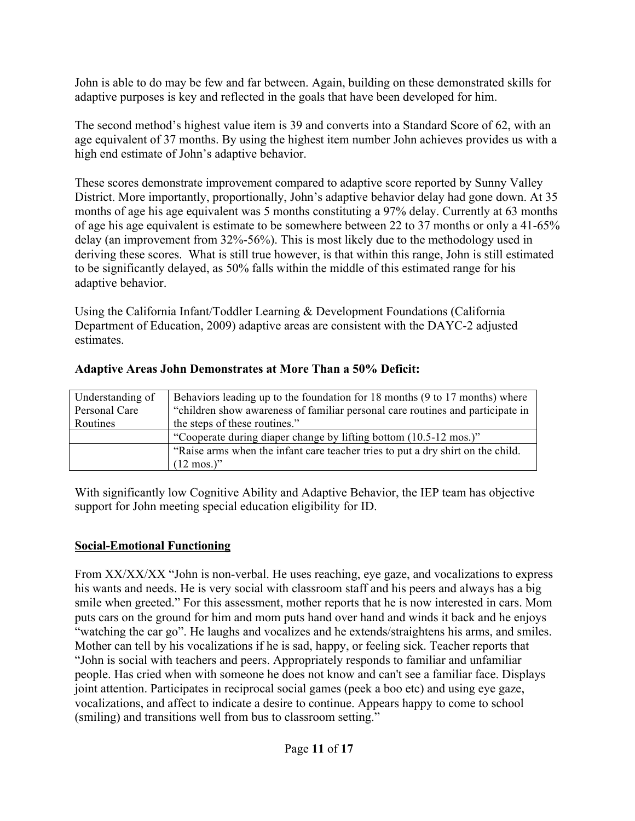John is able to do may be few and far between. Again, building on these demonstrated skills for adaptive purposes is key and reflected in the goals that have been developed for him.

The second method's highest value item is 39 and converts into a Standard Score of 62, with an age equivalent of 37 months. By using the highest item number John achieves provides us with a high end estimate of John's adaptive behavior.

These scores demonstrate improvement compared to adaptive score reported by Sunny Valley District. More importantly, proportionally, John's adaptive behavior delay had gone down. At 35 months of age his age equivalent was 5 months constituting a 97% delay. Currently at 63 months of age his age equivalent is estimate to be somewhere between 22 to 37 months or only a 41-65% delay (an improvement from 32%-56%). This is most likely due to the methodology used in deriving these scores. What is still true however, is that within this range, John is still estimated to be significantly delayed, as 50% falls within the middle of this estimated range for his adaptive behavior.

Using the California Infant/Toddler Learning & Development Foundations (California Department of Education, 2009) adaptive areas are consistent with the DAYC-2 adjusted estimates.

| Understanding of | Behaviors leading up to the foundation for 18 months (9 to 17 months) where     |
|------------------|---------------------------------------------------------------------------------|
| Personal Care    | "children show awareness of familiar personal care routines and participate in  |
| Routines         | the steps of these routines."                                                   |
|                  | "Cooperate during diaper change by lifting bottom (10.5-12 mos.)"               |
|                  | "Raise arms when the infant care teacher tries to put a dry shirt on the child. |
|                  | $(12 \text{ mos.})$ "                                                           |

### **Adaptive Areas John Demonstrates at More Than a 50% Deficit:**

With significantly low Cognitive Ability and Adaptive Behavior, the IEP team has objective support for John meeting special education eligibility for ID.

### **Social-Emotional Functioning**

From XX/XX/XX "John is non-verbal. He uses reaching, eye gaze, and vocalizations to express his wants and needs. He is very social with classroom staff and his peers and always has a big smile when greeted." For this assessment, mother reports that he is now interested in cars. Mom puts cars on the ground for him and mom puts hand over hand and winds it back and he enjoys "watching the car go". He laughs and vocalizes and he extends/straightens his arms, and smiles. Mother can tell by his vocalizations if he is sad, happy, or feeling sick. Teacher reports that "John is social with teachers and peers. Appropriately responds to familiar and unfamiliar people. Has cried when with someone he does not know and can't see a familiar face. Displays joint attention. Participates in reciprocal social games (peek a boo etc) and using eye gaze, vocalizations, and affect to indicate a desire to continue. Appears happy to come to school (smiling) and transitions well from bus to classroom setting."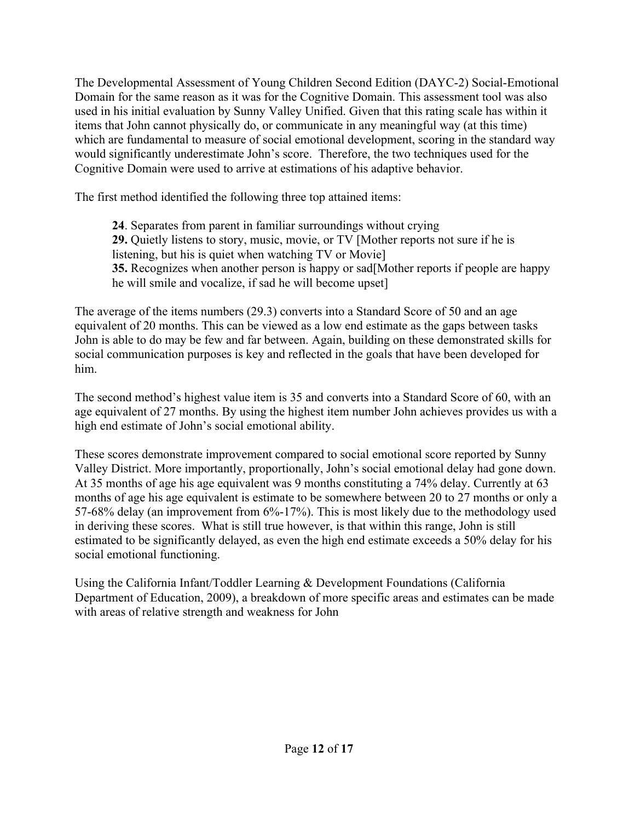The Developmental Assessment of Young Children Second Edition (DAYC-2) Social-Emotional Domain for the same reason as it was for the Cognitive Domain. This assessment tool was also used in his initial evaluation by Sunny Valley Unified. Given that this rating scale has within it items that John cannot physically do, or communicate in any meaningful way (at this time) which are fundamental to measure of social emotional development, scoring in the standard way would significantly underestimate John's score. Therefore, the two techniques used for the Cognitive Domain were used to arrive at estimations of his adaptive behavior.

The first method identified the following three top attained items:

**24**. Separates from parent in familiar surroundings without crying **29.** Quietly listens to story, music, movie, or TV [Mother reports not sure if he is listening, but his is quiet when watching TV or Movie] **35.** Recognizes when another person is happy or sad[Mother reports if people are happy he will smile and vocalize, if sad he will become upset]

The average of the items numbers (29.3) converts into a Standard Score of 50 and an age equivalent of 20 months. This can be viewed as a low end estimate as the gaps between tasks John is able to do may be few and far between. Again, building on these demonstrated skills for social communication purposes is key and reflected in the goals that have been developed for him.

The second method's highest value item is 35 and converts into a Standard Score of 60, with an age equivalent of 27 months. By using the highest item number John achieves provides us with a high end estimate of John's social emotional ability.

These scores demonstrate improvement compared to social emotional score reported by Sunny Valley District. More importantly, proportionally, John's social emotional delay had gone down. At 35 months of age his age equivalent was 9 months constituting a 74% delay. Currently at 63 months of age his age equivalent is estimate to be somewhere between 20 to 27 months or only a 57-68% delay (an improvement from 6%-17%). This is most likely due to the methodology used in deriving these scores. What is still true however, is that within this range, John is still estimated to be significantly delayed, as even the high end estimate exceeds a 50% delay for his social emotional functioning.

Using the California Infant/Toddler Learning & Development Foundations (California Department of Education, 2009), a breakdown of more specific areas and estimates can be made with areas of relative strength and weakness for John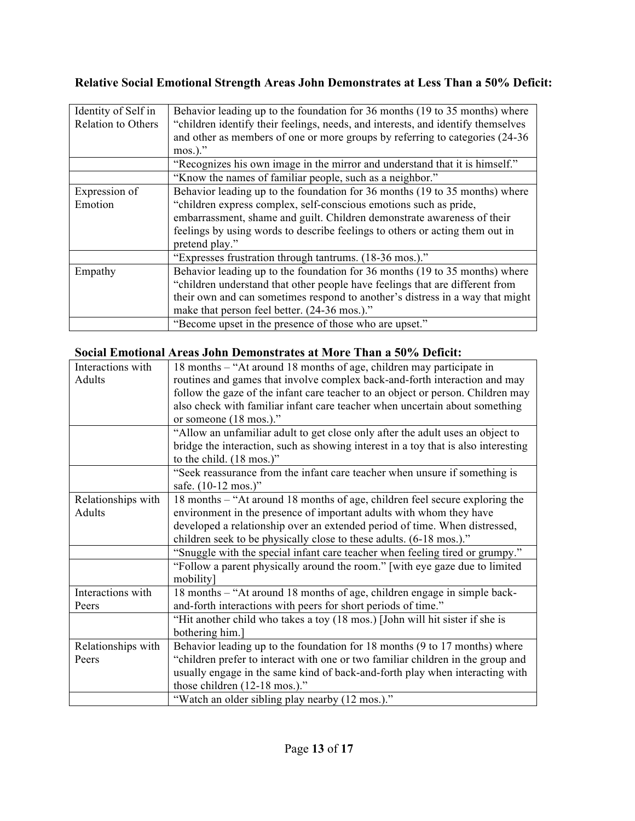# **Relative Social Emotional Strength Areas John Demonstrates at Less Than a 50% Deficit:**

| Identity of Self in | Behavior leading up to the foundation for 36 months (19 to 35 months) where      |
|---------------------|----------------------------------------------------------------------------------|
| Relation to Others  | "children identify their feelings, needs, and interests, and identify themselves |
|                     | and other as members of one or more groups by referring to categories (24-36)    |
|                     | $mos.$ )."                                                                       |
|                     | "Recognizes his own image in the mirror and understand that it is himself."      |
|                     | "Know the names of familiar people, such as a neighbor."                         |
| Expression of       | Behavior leading up to the foundation for 36 months (19 to 35 months) where      |
| Emotion             | "children express complex, self-conscious emotions such as pride,                |
|                     | embarrassment, shame and guilt. Children demonstrate awareness of their          |
|                     | feelings by using words to describe feelings to others or acting them out in     |
|                     | pretend play."                                                                   |
|                     | "Expresses frustration through tantrums. (18-36 mos.)."                          |
| Empathy             | Behavior leading up to the foundation for 36 months (19 to 35 months) where      |
|                     | "children understand that other people have feelings that are different from     |
|                     | their own and can sometimes respond to another's distress in a way that might    |
|                     | make that person feel better. (24-36 mos.)."                                     |
|                     | "Become upset in the presence of those who are upset."                           |

## **Social Emotional Areas John Demonstrates at More Than a 50% Deficit:**

| Interactions with  | 18 months – "At around 18 months of age, children may participate in               |
|--------------------|------------------------------------------------------------------------------------|
| Adults             | routines and games that involve complex back-and-forth interaction and may         |
|                    | follow the gaze of the infant care teacher to an object or person. Children may    |
|                    | also check with familiar infant care teacher when uncertain about something        |
|                    | or someone (18 mos.)."                                                             |
|                    | "Allow an unfamiliar adult to get close only after the adult uses an object to     |
|                    | bridge the interaction, such as showing interest in a toy that is also interesting |
|                    | to the child. (18 mos.)"                                                           |
|                    | "Seek reassurance from the infant care teacher when unsure if something is         |
|                    | safe. (10-12 mos.)"                                                                |
| Relationships with | 18 months – "At around 18 months of age, children feel secure exploring the        |
| Adults             | environment in the presence of important adults with whom they have                |
|                    | developed a relationship over an extended period of time. When distressed,         |
|                    | children seek to be physically close to these adults. (6-18 mos.)."                |
|                    | "Snuggle with the special infant care teacher when feeling tired or grumpy."       |
|                    | "Follow a parent physically around the room." [with eye gaze due to limited        |
|                    | mobility]                                                                          |
| Interactions with  | 18 months – "At around 18 months of age, children engage in simple back-           |
| Peers              | and-forth interactions with peers for short periods of time."                      |
|                    | "Hit another child who takes a toy (18 mos.) [John will hit sister if she is       |
|                    | bothering him.]                                                                    |
| Relationships with | Behavior leading up to the foundation for 18 months (9 to 17 months) where         |
| Peers              | "children prefer to interact with one or two familiar children in the group and    |
|                    | usually engage in the same kind of back-and-forth play when interacting with       |
|                    | those children $(12-18 \text{ mos.})$ ."                                           |
|                    | "Watch an older sibling play nearby (12 mos.)."                                    |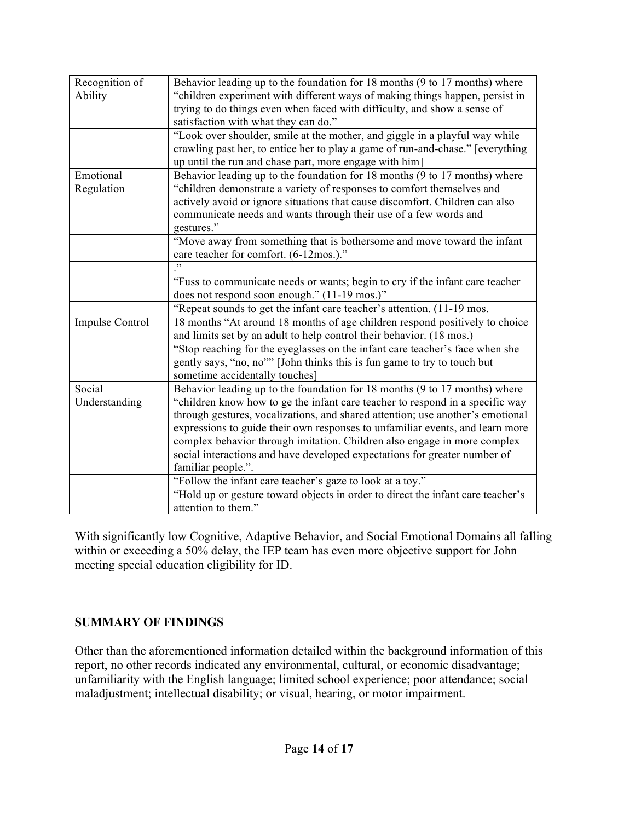| Recognition of<br>Ability | Behavior leading up to the foundation for 18 months (9 to 17 months) where<br>"children experiment with different ways of making things happen, persist in<br>trying to do things even when faced with difficulty, and show a sense of<br>satisfaction with what they can do." |
|---------------------------|--------------------------------------------------------------------------------------------------------------------------------------------------------------------------------------------------------------------------------------------------------------------------------|
|                           | "Look over shoulder, smile at the mother, and giggle in a playful way while                                                                                                                                                                                                    |
|                           | crawling past her, to entice her to play a game of run-and-chase." [everything<br>up until the run and chase part, more engage with him]                                                                                                                                       |
| Emotional                 | Behavior leading up to the foundation for 18 months (9 to 17 months) where                                                                                                                                                                                                     |
| Regulation                | "children demonstrate a variety of responses to comfort themselves and                                                                                                                                                                                                         |
|                           | actively avoid or ignore situations that cause discomfort. Children can also                                                                                                                                                                                                   |
|                           | communicate needs and wants through their use of a few words and<br>gestures."                                                                                                                                                                                                 |
|                           | "Move away from something that is bothersome and move toward the infant                                                                                                                                                                                                        |
|                           | care teacher for comfort. (6-12mos.)."                                                                                                                                                                                                                                         |
|                           | ,                                                                                                                                                                                                                                                                              |
|                           | "Fuss to communicate needs or wants; begin to cry if the infant care teacher                                                                                                                                                                                                   |
|                           | does not respond soon enough." (11-19 mos.)"                                                                                                                                                                                                                                   |
|                           | "Repeat sounds to get the infant care teacher's attention. (11-19 mos.                                                                                                                                                                                                         |
| <b>Impulse Control</b>    | 18 months "At around 18 months of age children respond positively to choice<br>and limits set by an adult to help control their behavior. (18 mos.)                                                                                                                            |
|                           | "Stop reaching for the eyeglasses on the infant care teacher's face when she                                                                                                                                                                                                   |
|                           | gently says, "no, no"" [John thinks this is fun game to try to touch but<br>sometime accidentally touches]                                                                                                                                                                     |
| Social                    | Behavior leading up to the foundation for 18 months (9 to 17 months) where                                                                                                                                                                                                     |
| Understanding             | "children know how to ge the infant care teacher to respond in a specific way                                                                                                                                                                                                  |
|                           | through gestures, vocalizations, and shared attention; use another's emotional                                                                                                                                                                                                 |
|                           | expressions to guide their own responses to unfamiliar events, and learn more                                                                                                                                                                                                  |
|                           | complex behavior through imitation. Children also engage in more complex                                                                                                                                                                                                       |
|                           | social interactions and have developed expectations for greater number of                                                                                                                                                                                                      |
|                           | familiar people.".                                                                                                                                                                                                                                                             |
|                           | "Follow the infant care teacher's gaze to look at a toy."                                                                                                                                                                                                                      |
|                           | "Hold up or gesture toward objects in order to direct the infant care teacher's                                                                                                                                                                                                |
|                           | attention to them."                                                                                                                                                                                                                                                            |

With significantly low Cognitive, Adaptive Behavior, and Social Emotional Domains all falling within or exceeding a 50% delay, the IEP team has even more objective support for John meeting special education eligibility for ID.

### **SUMMARY OF FINDINGS**

Other than the aforementioned information detailed within the background information of this report, no other records indicated any environmental, cultural, or economic disadvantage; unfamiliarity with the English language; limited school experience; poor attendance; social maladjustment; intellectual disability; or visual, hearing, or motor impairment.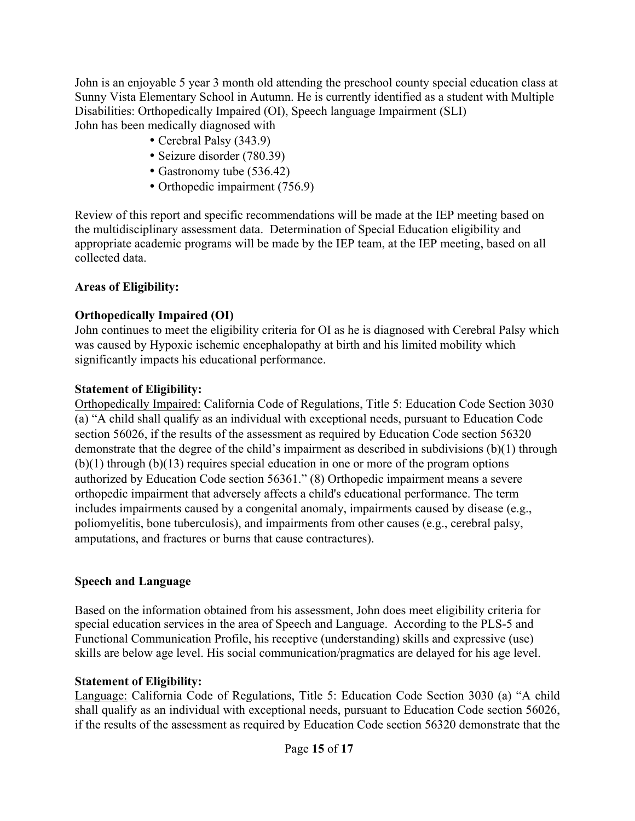John is an enjoyable 5 year 3 month old attending the preschool county special education class at Sunny Vista Elementary School in Autumn. He is currently identified as a student with Multiple Disabilities: Orthopedically Impaired (OI), Speech language Impairment (SLI) John has been medically diagnosed with

- Cerebral Palsy (343.9)
- Seizure disorder (780.39)
- Gastronomy tube (536.42)
- Orthopedic impairment (756.9)

Review of this report and specific recommendations will be made at the IEP meeting based on the multidisciplinary assessment data. Determination of Special Education eligibility and appropriate academic programs will be made by the IEP team, at the IEP meeting, based on all collected data.

## **Areas of Eligibility:**

## **Orthopedically Impaired (OI)**

John continues to meet the eligibility criteria for OI as he is diagnosed with Cerebral Palsy which was caused by Hypoxic ischemic encephalopathy at birth and his limited mobility which significantly impacts his educational performance.

## **Statement of Eligibility:**

Orthopedically Impaired: California Code of Regulations, Title 5: Education Code Section 3030 (a) "A child shall qualify as an individual with exceptional needs, pursuant to Education Code section 56026, if the results of the assessment as required by Education Code section 56320 demonstrate that the degree of the child's impairment as described in subdivisions (b)(1) through  $(b)(1)$  through  $(b)(13)$  requires special education in one or more of the program options authorized by Education Code section 56361." (8) Orthopedic impairment means a severe orthopedic impairment that adversely affects a child's educational performance. The term includes impairments caused by a congenital anomaly, impairments caused by disease (e.g., poliomyelitis, bone tuberculosis), and impairments from other causes (e.g., cerebral palsy, amputations, and fractures or burns that cause contractures).

## **Speech and Language**

Based on the information obtained from his assessment, John does meet eligibility criteria for special education services in the area of Speech and Language. According to the PLS-5 and Functional Communication Profile, his receptive (understanding) skills and expressive (use) skills are below age level. His social communication/pragmatics are delayed for his age level.

## **Statement of Eligibility:**

Language: California Code of Regulations, Title 5: Education Code Section 3030 (a) "A child shall qualify as an individual with exceptional needs, pursuant to Education Code section 56026, if the results of the assessment as required by Education Code section 56320 demonstrate that the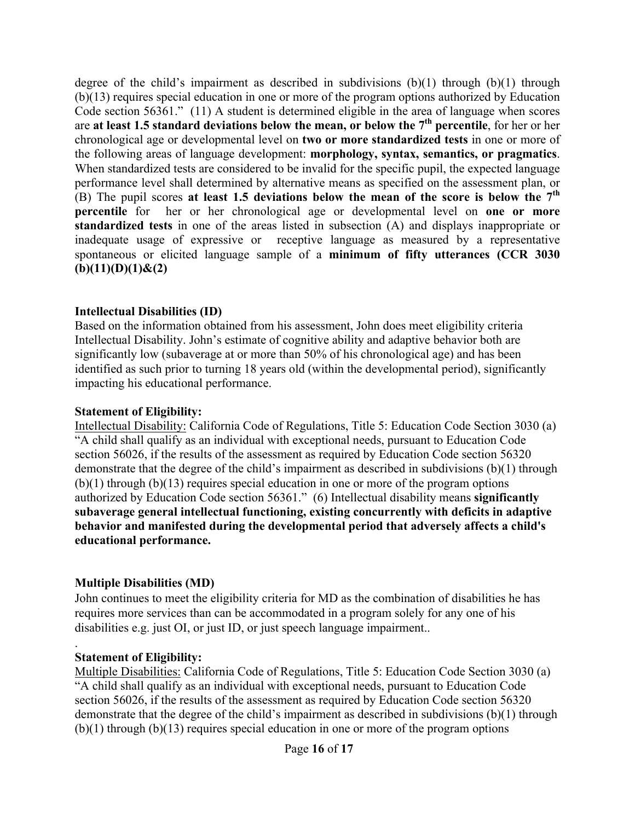degree of the child's impairment as described in subdivisions  $(b)(1)$  through  $(b)(1)$  through (b)(13) requires special education in one or more of the program options authorized by Education Code section 56361." (11) A student is determined eligible in the area of language when scores are **at least 1.5 standard deviations below the mean, or below the 7th percentile**, for her or her chronological age or developmental level on **two or more standardized tests** in one or more of the following areas of language development: **morphology, syntax, semantics, or pragmatics**. When standardized tests are considered to be invalid for the specific pupil, the expected language performance level shall determined by alternative means as specified on the assessment plan, or (B) The pupil scores **at least 1.5 deviations below the mean of the score is below the 7th percentile** for her or her chronological age or developmental level on **one or more standardized tests** in one of the areas listed in subsection (A) and displays inappropriate or inadequate usage of expressive or receptive language as measured by a representative spontaneous or elicited language sample of a **minimum of fifty utterances (CCR 3030 (b)(11)(D)(1)&(2)**

#### **Intellectual Disabilities (ID)**

Based on the information obtained from his assessment, John does meet eligibility criteria Intellectual Disability. John's estimate of cognitive ability and adaptive behavior both are significantly low (subaverage at or more than 50% of his chronological age) and has been identified as such prior to turning 18 years old (within the developmental period), significantly impacting his educational performance.

#### **Statement of Eligibility:**

Intellectual Disability: California Code of Regulations, Title 5: Education Code Section 3030 (a) "A child shall qualify as an individual with exceptional needs, pursuant to Education Code section 56026, if the results of the assessment as required by Education Code section 56320 demonstrate that the degree of the child's impairment as described in subdivisions (b)(1) through  $(b)(1)$  through  $(b)(13)$  requires special education in one or more of the program options authorized by Education Code section 56361." (6) Intellectual disability means **significantly subaverage general intellectual functioning, existing concurrently with deficits in adaptive behavior and manifested during the developmental period that adversely affects a child's educational performance.**

### **Multiple Disabilities (MD)**

John continues to meet the eligibility criteria for MD as the combination of disabilities he has requires more services than can be accommodated in a program solely for any one of his disabilities e.g. just OI, or just ID, or just speech language impairment..

### **Statement of Eligibility:**

.

Multiple Disabilities: California Code of Regulations, Title 5: Education Code Section 3030 (a) "A child shall qualify as an individual with exceptional needs, pursuant to Education Code section 56026, if the results of the assessment as required by Education Code section 56320 demonstrate that the degree of the child's impairment as described in subdivisions (b)(1) through (b)(1) through (b)(13) requires special education in one or more of the program options